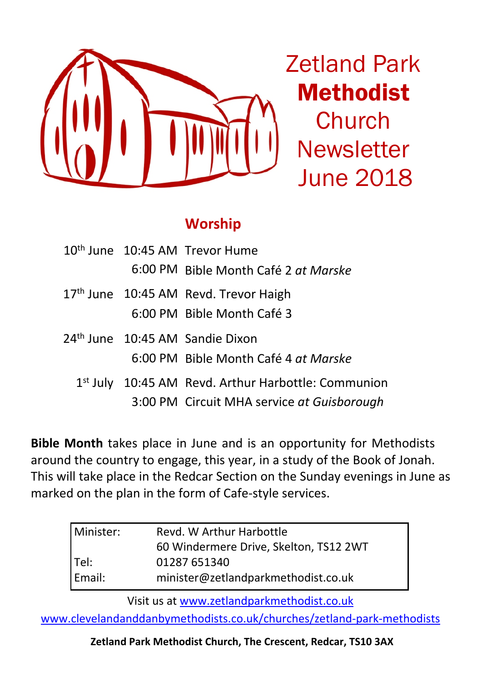

Zetland Park Methodist Church **Newsletter** June 2018

# **Worship**

|  | 10 <sup>th</sup> June 10:45 AM Trevor Hume          |  |
|--|-----------------------------------------------------|--|
|  | 6:00 PM Bible Month Café 2 at Marske                |  |
|  | 17th June 10:45 AM Revd. Trevor Haigh               |  |
|  | 6:00 PM Bible Month Café 3                          |  |
|  | 24 <sup>th</sup> June 10:45 AM Sandie Dixon         |  |
|  | 6:00 PM Bible Month Café 4 at Marske                |  |
|  | 1st July 10:45 AM Revd. Arthur Harbottle: Communion |  |
|  | 3:00 PM Circuit MHA service at Guisborough          |  |

**Bible Month** takes place in June and is an opportunity for Methodists around the country to engage, this year, in a study of the Book of Jonah. This will take place in the Redcar Section on the Sunday evenings in June as marked on the plan in the form of Cafe-style services.

| l Minister: I | Revd. W Arthur Harbottle               |  |
|---------------|----------------------------------------|--|
|               | 60 Windermere Drive, Skelton, TS12 2WT |  |
| Tel:          | 01287 651340                           |  |
| Email:        | minister@zetlandparkmethodist.co.uk    |  |

Visit us at www.zetlandparkmethodist.co.uk

www.clevelandanddanbymethodists.co.uk/churches/zetland-park-methodists

**Zetland Park Methodist Church, The Crescent, Redcar, TS10 3AX**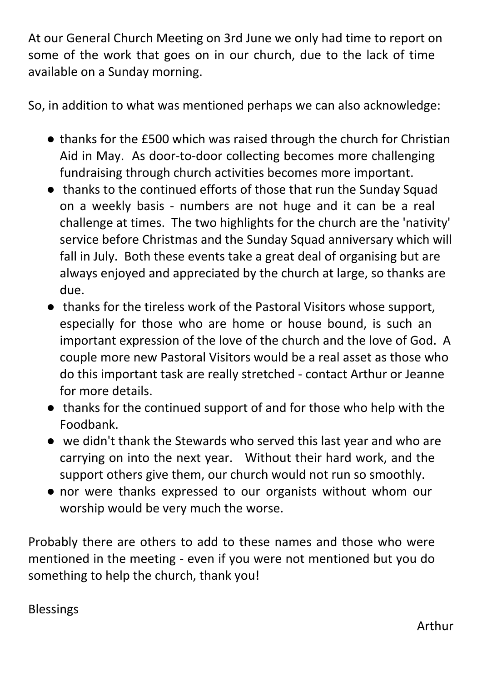At our General Church Meeting on 3rd June we only had time to report on some of the work that goes on in our church, due to the lack of time available on a Sunday morning.

So, in addition to what was mentioned perhaps we can also acknowledge:

- thanks for the £500 which was raised through the church for Christian Aid in May. As door-to-door collecting becomes more challenging fundraising through church activities becomes more important.
- thanks to the continued efforts of those that run the Sunday Squad on a weekly basis - numbers are not huge and it can be a real challenge at times. The two highlights for the church are the 'nativity' service before Christmas and the Sunday Squad anniversary which will fall in July. Both these events take a great deal of organising but are always enjoyed and appreciated by the church at large, so thanks are due.
- thanks for the tireless work of the Pastoral Visitors whose support, especially for those who are home or house bound, is such an important expression of the love of the church and the love of God. A couple more new Pastoral Visitors would be a real asset as those who do this important task are really stretched - contact Arthur or Jeanne for more details.
- thanks for the continued support of and for those who help with the Foodbank.
- we didn't thank the Stewards who served this last year and who are carrying on into the next year. Without their hard work, and the support others give them, our church would not run so smoothly.
- nor were thanks expressed to our organists without whom our worship would be very much the worse.

Probably there are others to add to these names and those who were mentioned in the meeting - even if you were not mentioned but you do something to help the church, thank you!

**Blessings**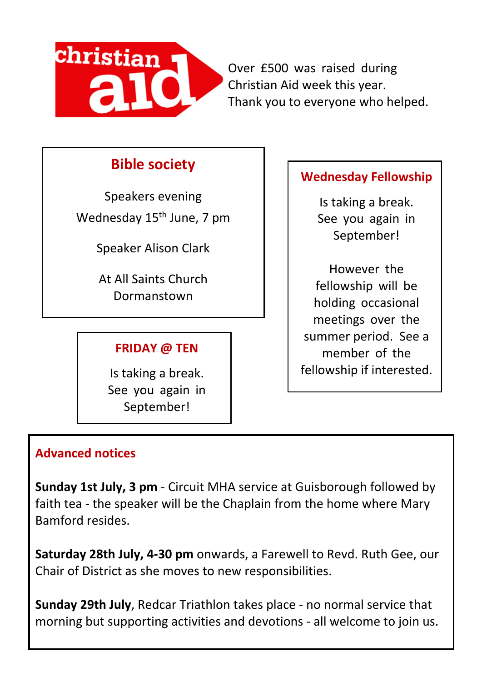

Over £500 was raised during Christian Aid week this year. Thank you to everyone who helped.

# **Bible society**

Speakers evening Wednesday 15<sup>th</sup> June, 7 pm

Speaker Alison Clark

At All Saints Church **Dormanstown** 

## **FRIDAY @ TEN**

Is taking a break. See you again in September!

## **Wednesday Fellowship**

Is taking a break. See you again in September!

However the fellowship will be holding occasional meetings over the summer period. See a member of the fellowship if interested.

### **Advanced notices**

**Sunday 1st July, 3 pm** - Circuit MHA service at Guisborough followed by faith tea - the speaker will be the Chaplain from the home where Mary Bamford resides.

**Saturday 28th July, 4-30 pm** onwards, a Farewell to Revd. Ruth Gee, our Chair of District as she moves to new responsibilities.

**Sunday 29th July**, Redcar Triathlon takes place - no normal service that morning but supporting activities and devotions - all welcome to join us.